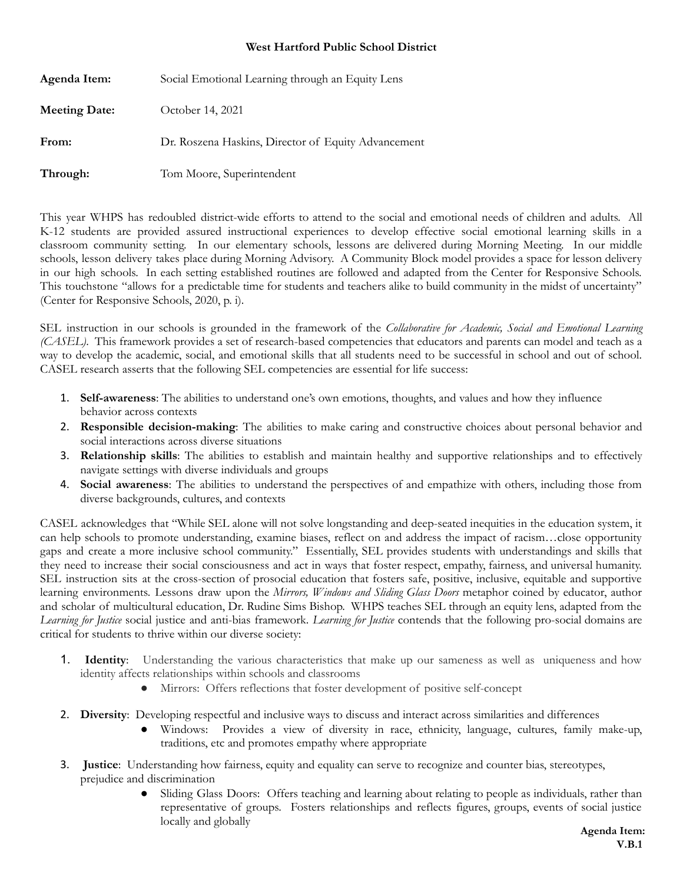## **West Hartford Public School District**

| Agenda Item:         | Social Emotional Learning through an Equity Lens    |
|----------------------|-----------------------------------------------------|
| <b>Meeting Date:</b> | October 14, 2021                                    |
| From:                | Dr. Roszena Haskins, Director of Equity Advancement |
| Through:             | Tom Moore, Superintendent                           |

This year WHPS has redoubled district-wide efforts to attend to the social and emotional needs of children and adults. All K-12 students are provided assured instructional experiences to develop effective social emotional learning skills in a classroom community setting. In our elementary schools, lessons are delivered during Morning Meeting. In our middle schools, lesson delivery takes place during Morning Advisory. A Community Block model provides a space for lesson delivery in our high schools. In each setting established routines are followed and adapted from the Center for Responsive Schools. This touchstone "allows for a predictable time for students and teachers alike to build community in the midst of uncertainty" (Center for Responsive Schools, 2020, p. i).

SEL instruction in our schools is grounded in the framework of the *Collaborative for Academic, Social and Emotional Learning (CASEL)*. This framework provides a set of research-based competencies that educators and parents can model and teach as a way to develop the academic, social, and emotional skills that all students need to be successful in school and out of school. CASEL research asserts that the following SEL competencies are essential for life success:

- 1. **Self-awareness**: The abilities to understand one's own emotions, thoughts, and values and how they influence behavior across contexts
- 2. **Responsible decision-making**: The abilities to make caring and constructive choices about personal behavior and social interactions across diverse situations
- 3. **Relationship skills**: The abilities to establish and maintain healthy and supportive relationships and to effectively navigate settings with diverse individuals and groups
- 4. **Social awareness**: The abilities to understand the perspectives of and empathize with others, including those from diverse backgrounds, cultures, and contexts

CASEL acknowledges that "While SEL alone will not solve longstanding and deep-seated inequities in the education system, it can help schools to promote understanding, examine biases, reflect on and address the impact of racism…close opportunity gaps and create a more inclusive school community." Essentially, SEL provides students with understandings and skills that they need to increase their social consciousness and act in ways that foster respect, empathy, fairness, and universal humanity. SEL instruction sits at the cross-section of prosocial education that fosters safe, positive, inclusive, equitable and supportive learning environments. Lessons draw upon the *Mirrors, Windows and Sliding Glass Doors* metaphor coined by educator, author and scholar of multicultural education, Dr. Rudine Sims Bishop. WHPS teaches SEL through an equity lens, adapted from the *Learning for Justice* social justice and anti-bias framework. *Learning for Justice* contends that the following pro-social domains are critical for students to thrive within our diverse society:

- 1. **Identity**: Understanding the various characteristics that make up our sameness as well as uniqueness and how identity affects relationships within schools and classrooms
	- Mirrors: Offers reflections that foster development of positive self-concept
- 2. **Diversity**: Developing respectful and inclusive ways to discuss and interact across similarities and differences
	- Windows: Provides a view of diversity in race, ethnicity, language, cultures, family make-up, traditions, etc and promotes empathy where appropriate
- 3. **Justice**: Understanding how fairness, equity and equality can serve to recognize and counter bias, stereotypes, prejudice and discrimination
	- Sliding Glass Doors: Offers teaching and learning about relating to people as individuals, rather than representative of groups. Fosters relationships and reflects figures, groups, events of social justice locally and globally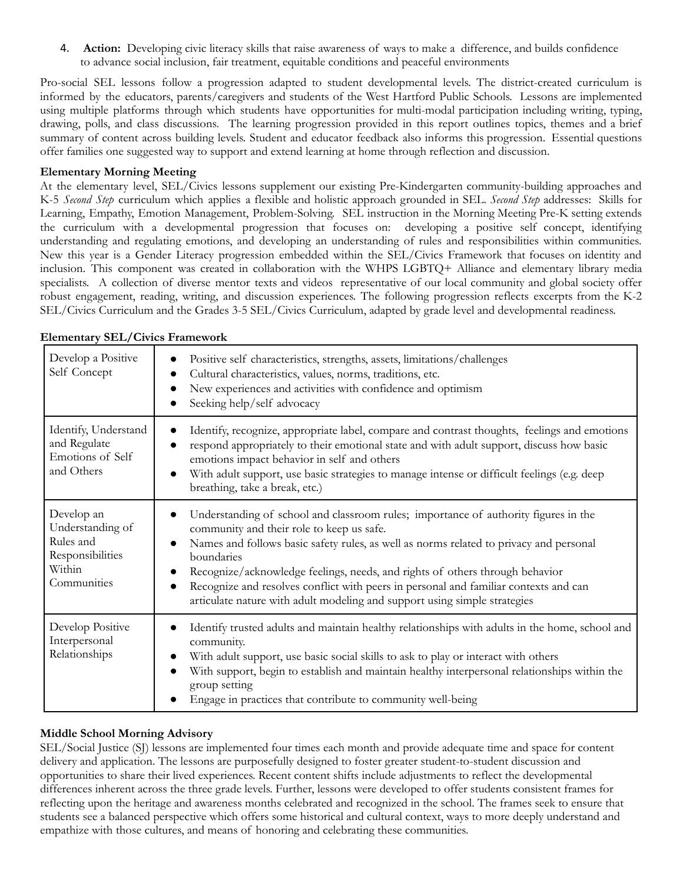4. **Action:** Developing civic literacy skills that raise awareness of ways to make a difference, and builds confidence to advance social inclusion, fair treatment, equitable conditions and peaceful environments

Pro-social SEL lessons follow a progression adapted to student developmental levels. The district-created curriculum is informed by the educators, parents/caregivers and students of the West Hartford Public Schools. Lessons are implemented using multiple platforms through which students have opportunities for multi-modal participation including writing, typing, drawing, polls, and class discussions. The learning progression provided in this report outlines topics, themes and a brief summary of content across building levels. Student and educator feedback also informs this progression. Essential questions offer families one suggested way to support and extend learning at home through reflection and discussion.

## **Elementary Morning Meeting**

At the elementary level, SEL/Civics lessons supplement our existing Pre-Kindergarten community-building approaches and K-5 *Second Step* curriculum which applies a flexible and holistic approach grounded in SEL. *Second Step* addresses: Skills for Learning, Empathy, Emotion Management, Problem-Solving. SEL instruction in the Morning Meeting Pre-K setting extends the curriculum with a developmental progression that focuses on: developing a positive self concept, identifying understanding and regulating emotions, and developing an understanding of rules and responsibilities within communities. New this year is a Gender Literacy progression embedded within the SEL/Civics Framework that focuses on identity and inclusion. This component was created in collaboration with the WHPS LGBTQ+ Alliance and elementary library media specialists. A collection of diverse mentor texts and videos representative of our local community and global society offer robust engagement, reading, writing, and discussion experiences. The following progression reflects excerpts from the K-2 SEL/Civics Curriculum and the Grades 3-5 SEL/Civics Curriculum, adapted by grade level and developmental readiness.

| Develop a Positive<br>Self Concept                                                       | Positive self characteristics, strengths, assets, limitations/challenges<br>$\bullet$<br>Cultural characteristics, values, norms, traditions, etc.<br>$\bullet$<br>New experiences and activities with confidence and optimism<br>$\bullet$<br>Seeking help/self advocacy<br>$\bullet$                                                                                                                                                                                                                                               |
|------------------------------------------------------------------------------------------|--------------------------------------------------------------------------------------------------------------------------------------------------------------------------------------------------------------------------------------------------------------------------------------------------------------------------------------------------------------------------------------------------------------------------------------------------------------------------------------------------------------------------------------|
| Identify, Understand<br>and Regulate<br>Emotions of Self<br>and Others                   | Identify, recognize, appropriate label, compare and contrast thoughts, feelings and emotions<br>respond appropriately to their emotional state and with adult support, discuss how basic<br>emotions impact behavior in self and others<br>With adult support, use basic strategies to manage intense or difficult feelings (e.g. deep<br>$\bullet$<br>breathing, take a break, etc.)                                                                                                                                                |
| Develop an<br>Understanding of<br>Rules and<br>Responsibilities<br>Within<br>Communities | Understanding of school and classroom rules; importance of authority figures in the<br>community and their role to keep us safe.<br>Names and follows basic safety rules, as well as norms related to privacy and personal<br>$\bullet$<br>boundaries<br>Recognize/acknowledge feelings, needs, and rights of others through behavior<br>$\bullet$<br>Recognize and resolves conflict with peers in personal and familiar contexts and can<br>$\bullet$<br>articulate nature with adult modeling and support using simple strategies |
| Develop Positive<br>Interpersonal<br>Relationships                                       | Identify trusted adults and maintain healthy relationships with adults in the home, school and<br>community.<br>With adult support, use basic social skills to ask to play or interact with others<br>$\bullet$<br>With support, begin to establish and maintain healthy interpersonal relationships within the<br>$\bullet$<br>group setting<br>Engage in practices that contribute to community well-being                                                                                                                         |

### **Elementary SEL/Civics Framework**

### **Middle School Morning Advisory**

SEL/Social Justice (SJ) lessons are implemented four times each month and provide adequate time and space for content delivery and application. The lessons are purposefully designed to foster greater student-to-student discussion and opportunities to share their lived experiences. Recent content shifts include adjustments to reflect the developmental differences inherent across the three grade levels. Further, lessons were developed to offer students consistent frames for reflecting upon the heritage and awareness months celebrated and recognized in the school. The frames seek to ensure that students see a balanced perspective which offers some historical and cultural context, ways to more deeply understand and empathize with those cultures, and means of honoring and celebrating these communities.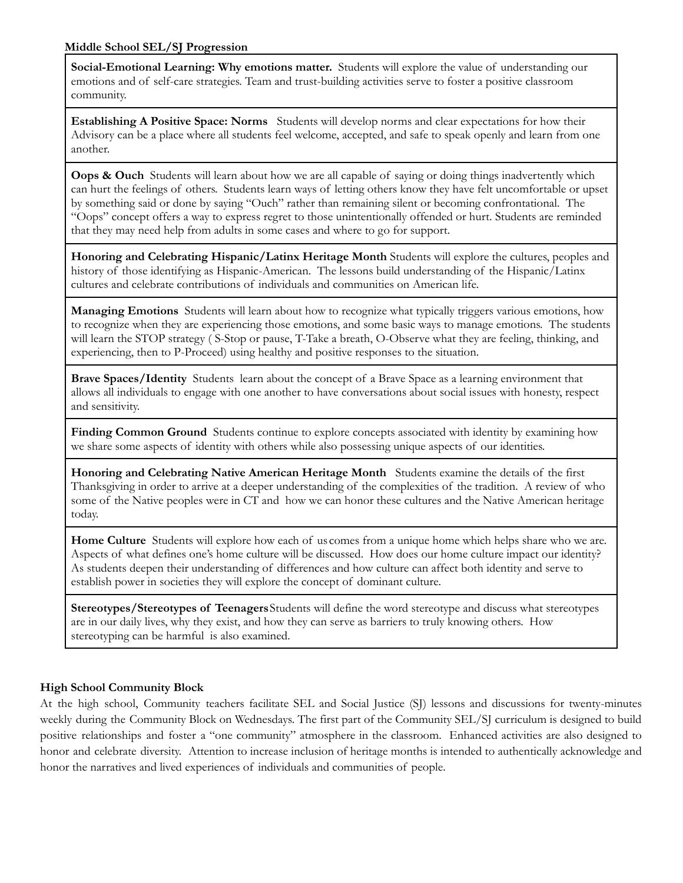**Social-Emotional Learning: Why emotions matter.** Students will explore the value of understanding our emotions and of self-care strategies. Team and trust-building activities serve to foster a positive classroom community.

**Establishing A Positive Space: Norms** Students will develop norms and clear expectations for how their Advisory can be a place where all students feel welcome, accepted, and safe to speak openly and learn from one another.

**Oops & Ouch** Students will learn about how we are all capable of saying or doing things inadvertently which can hurt the feelings of others. Students learn ways of letting others know they have felt uncomfortable or upset by something said or done by saying "Ouch" rather than remaining silent or becoming confrontational. The "Oops" concept offers a way to express regret to those unintentionally offended or hurt. Students are reminded that they may need help from adults in some cases and where to go for support.

**Honoring and Celebrating Hispanic/Latinx Heritage Month** Students will explore the cultures, peoples and history of those identifying as Hispanic-American. The lessons build understanding of the Hispanic/Latinx cultures and celebrate contributions of individuals and communities on American life.

**Managing Emotions** Students will learn about how to recognize what typically triggers various emotions, how to recognize when they are experiencing those emotions, and some basic ways to manage emotions. The students will learn the STOP strategy ( S-Stop or pause, T-Take a breath, O-Observe what they are feeling, thinking, and experiencing, then to P-Proceed) using healthy and positive responses to the situation.

**Brave Spaces/Identity** Students learn about the concept of a Brave Space as a learning environment that allows all individuals to engage with one another to have conversations about social issues with honesty, respect and sensitivity.

**Finding Common Ground** Students continue to explore concepts associated with identity by examining how we share some aspects of identity with others while also possessing unique aspects of our identities.

**Honoring and Celebrating Native American Heritage Month** Students examine the details of the first Thanksgiving in order to arrive at a deeper understanding of the complexities of the tradition. A review of who some of the Native peoples were in CT and how we can honor these cultures and the Native American heritage today.

**Home Culture** Students will explore how each of us comes from a unique home which helps share who we are. Aspects of what defines one's home culture will be discussed. How does our home culture impact our identity? As students deepen their understanding of differences and how culture can affect both identity and serve to establish power in societies they will explore the concept of dominant culture.

**Stereotypes/Stereotypes of Teenagers**Students will define the word stereotype and discuss what stereotypes are in our daily lives, why they exist, and how they can serve as barriers to truly knowing others. How stereotyping can be harmful is also examined.

# **High School Community Block**

At the high school, Community teachers facilitate SEL and Social Justice (SJ) lessons and discussions for twenty-minutes weekly during the Community Block on Wednesdays. The first part of the Community SEL/SJ curriculum is designed to build positive relationships and foster a "one community" atmosphere in the classroom. Enhanced activities are also designed to honor and celebrate diversity. Attention to increase inclusion of heritage months is intended to authentically acknowledge and honor the narratives and lived experiences of individuals and communities of people.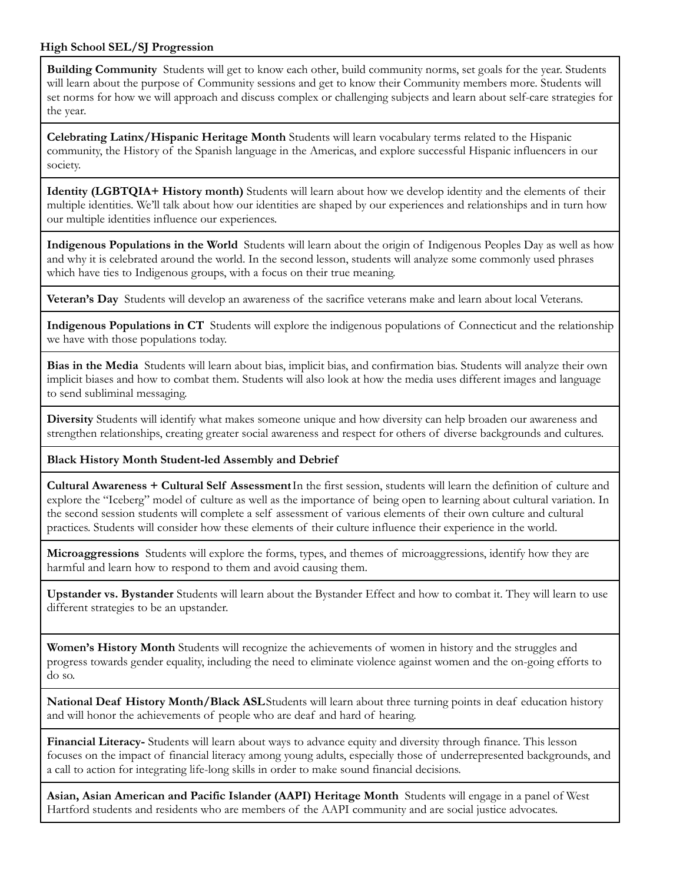### **High School SEL/SJ Progression**

**Building Community** Students will get to know each other, build community norms, set goals for the year. Students will learn about the purpose of Community sessions and get to know their Community members more. Students will set norms for how we will approach and discuss complex or challenging subjects and learn about self-care strategies for the year.

**Celebrating Latinx/Hispanic Heritage Month** Students will learn vocabulary terms related to the Hispanic community, the History of the Spanish language in the Americas, and explore successful Hispanic influencers in our society.

**Identity (LGBTQIA+ History month)** Students will learn about how we develop identity and the elements of their multiple identities. We'll talk about how our identities are shaped by our experiences and relationships and in turn how our multiple identities influence our experiences.

**Indigenous Populations in the World** Students will learn about the origin of Indigenous Peoples Day as well as how and why it is celebrated around the world. In the second lesson, students will analyze some commonly used phrases which have ties to Indigenous groups, with a focus on their true meaning.

**Veteran's Day** Students will develop an awareness of the sacrifice veterans make and learn about local Veterans.

**Indigenous Populations in CT** Students will explore the indigenous populations of Connecticut and the relationship we have with those populations today.

**Bias in the Media** Students will learn about bias, implicit bias, and confirmation bias. Students will analyze their own implicit biases and how to combat them. Students will also look at how the media uses different images and language to send subliminal messaging.

**Diversity** Students will identify what makes someone unique and how diversity can help broaden our awareness and strengthen relationships, creating greater social awareness and respect for others of diverse backgrounds and cultures.

### **Black History Month Student-led Assembly and Debrief**

**Cultural Awareness + Cultural Self Assessment**In the first session, students will learn the definition of culture and explore the "Iceberg" model of culture as well as the importance of being open to learning about cultural variation. In the second session students will complete a self assessment of various elements of their own culture and cultural practices. Students will consider how these elements of their culture influence their experience in the world.

**Microaggressions** Students will explore the forms, types, and themes of microaggressions, identify how they are harmful and learn how to respond to them and avoid causing them.

**Upstander vs. Bystander** Students will learn about the Bystander Effect and how to combat it. They will learn to use different strategies to be an upstander.

**Women's History Month** Students will recognize the achievements of women in history and the struggles and progress towards gender equality, including the need to eliminate violence against women and the on-going efforts to do so.

**National Deaf History Month/Black ASL**Students will learn about three turning points in deaf education history and will honor the achievements of people who are deaf and hard of hearing.

**Financial Literacy-** Students will learn about ways to advance equity and diversity through finance. This lesson focuses on the impact of financial literacy among young adults, especially those of underrepresented backgrounds, and a call to action for integrating life-long skills in order to make sound financial decisions.

**Asian, Asian American and Pacific Islander (AAPI) Heritage Month** Students will engage in a panel of West Hartford students and residents who are members of the AAPI community and are social justice advocates.